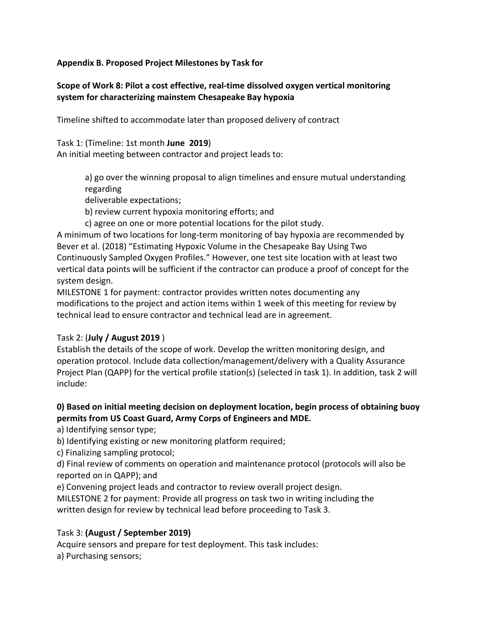#### **Appendix B. Proposed Project Milestones by Task for**

### **Scope of Work 8: Pilot a cost effective, real-time dissolved oxygen vertical monitoring system for characterizing mainstem Chesapeake Bay hypoxia**

Timeline shifted to accommodate later than proposed delivery of contract

Task 1: (Timeline: 1st month **June 2019**)

An initial meeting between contractor and project leads to:

a) go over the winning proposal to align timelines and ensure mutual understanding regarding

deliverable expectations;

b) review current hypoxia monitoring efforts; and

c) agree on one or more potential locations for the pilot study.

A minimum of two locations for long-term monitoring of bay hypoxia are recommended by Bever et al. (2018) "Estimating Hypoxic Volume in the Chesapeake Bay Using Two Continuously Sampled Oxygen Profiles." However, one test site location with at least two vertical data points will be sufficient if the contractor can produce a proof of concept for the system design.

MILESTONE 1 for payment: contractor provides written notes documenting any modifications to the project and action items within 1 week of this meeting for review by technical lead to ensure contractor and technical lead are in agreement.

#### Task 2: (**July / August 2019** )

Establish the details of the scope of work. Develop the written monitoring design, and operation protocol. Include data collection/management/delivery with a Quality Assurance Project Plan (QAPP) for the vertical profile station(s) (selected in task 1). In addition, task 2 will include:

### **0) Based on initial meeting decision on deployment location, begin process of obtaining buoy permits from US Coast Guard, Army Corps of Engineers and MDE.**

a) Identifying sensor type;

b) Identifying existing or new monitoring platform required;

c) Finalizing sampling protocol;

d) Final review of comments on operation and maintenance protocol (protocols will also be reported on in QAPP); and

e) Convening project leads and contractor to review overall project design.

MILESTONE 2 for payment: Provide all progress on task two in writing including the written design for review by technical lead before proceeding to Task 3.

# Task 3: **(August / September 2019)**

Acquire sensors and prepare for test deployment. This task includes: a) Purchasing sensors;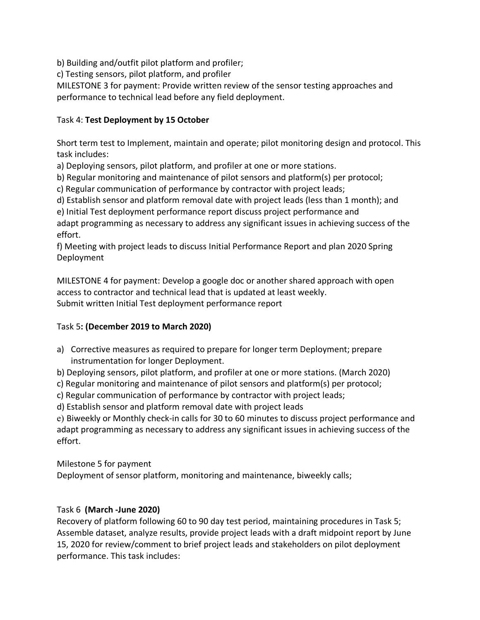b) Building and/outfit pilot platform and profiler;

c) Testing sensors, pilot platform, and profiler

MILESTONE 3 for payment: Provide written review of the sensor testing approaches and performance to technical lead before any field deployment.

### Task 4: **Test Deployment by 15 October**

Short term test to Implement, maintain and operate; pilot monitoring design and protocol. This task includes:

a) Deploying sensors, pilot platform, and profiler at one or more stations.

b) Regular monitoring and maintenance of pilot sensors and platform(s) per protocol;

c) Regular communication of performance by contractor with project leads;

d) Establish sensor and platform removal date with project leads (less than 1 month); and

e) Initial Test deployment performance report discuss project performance and adapt programming as necessary to address any significant issues in achieving success of the effort.

f) Meeting with project leads to discuss Initial Performance Report and plan 2020 Spring Deployment

MILESTONE 4 for payment: Develop a google doc or another shared approach with open access to contractor and technical lead that is updated at least weekly. Submit written Initial Test deployment performance report

# Task 5**: (December 2019 to March 2020)**

- a) Corrective measures as required to prepare for longer term Deployment; prepare instrumentation for longer Deployment.
- b) Deploying sensors, pilot platform, and profiler at one or more stations. (March 2020)

c) Regular monitoring and maintenance of pilot sensors and platform(s) per protocol;

c) Regular communication of performance by contractor with project leads;

d) Establish sensor and platform removal date with project leads

e) Biweekly or Monthly check-in calls for 30 to 60 minutes to discuss project performance and adapt programming as necessary to address any significant issues in achieving success of the effort.

Milestone 5 for payment

Deployment of sensor platform, monitoring and maintenance, biweekly calls;

# Task 6 **(March -June 2020)**

Recovery of platform following 60 to 90 day test period, maintaining procedures in Task 5; Assemble dataset, analyze results, provide project leads with a draft midpoint report by June 15, 2020 for review/comment to brief project leads and stakeholders on pilot deployment performance. This task includes: